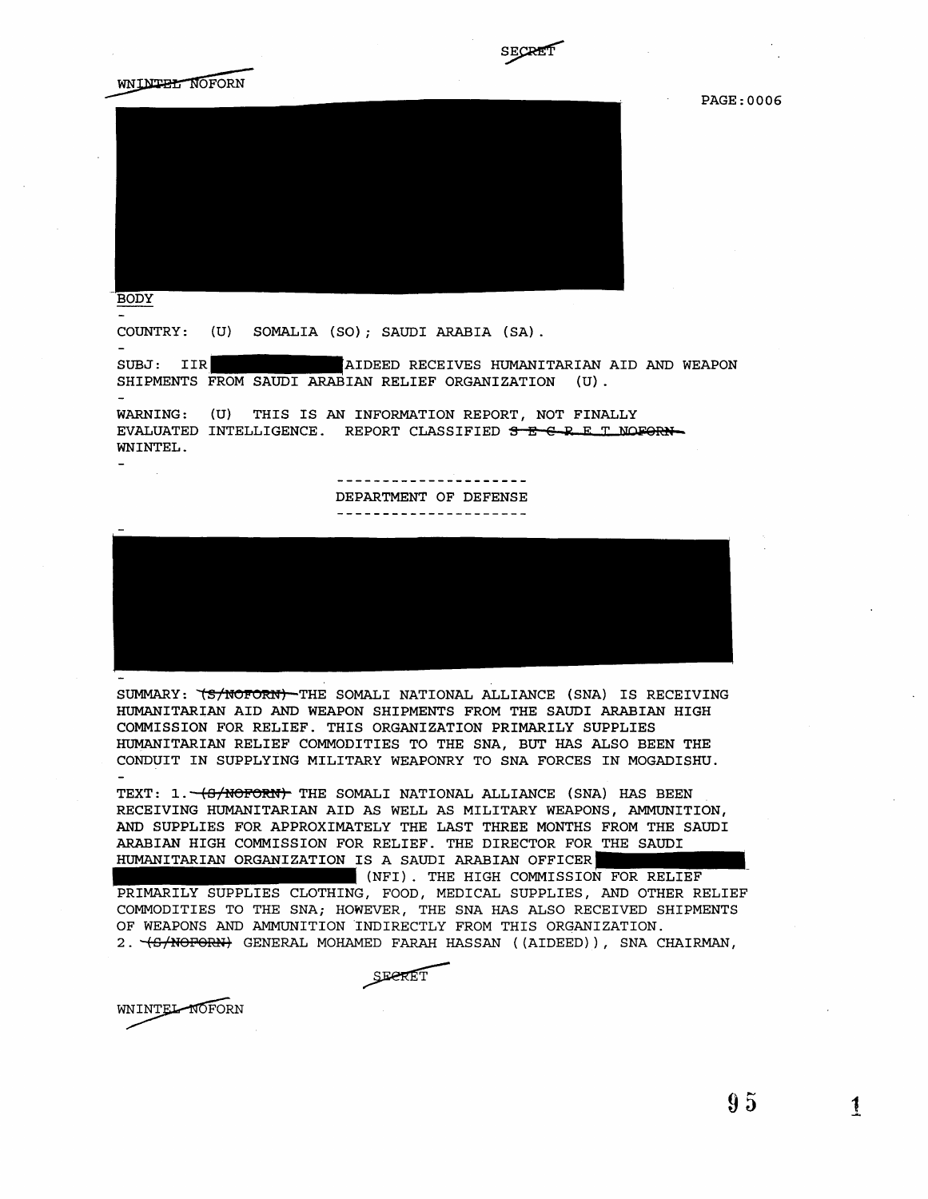





**BODY** 

COUNTRY: (U) SOMALIA (SO); SAUDI ARABIA (SA).

SUBJ: IIR SHIPMENTS FROM SAUDI ARABIAN RELIEF ORGANIZATION AIDEED RECEIVES HUMANITARIAN AID AND WEAPON (U) .

WARNING: (U) THIS IS AN INFORMATION REPORT, NOT FINALLY EVALUATED INTELLIGENCE. REPORT CLASSIFIED SECRET NOFORN-WNINTEL.

> ---------------------DEPARTMENT OF DEFENSE -------------------



SUMMARY: "(S/NOFORN) THE SOMALI NATIONAL ALLIANCE (SNA) IS RECEIVING HUMANITARIAN AID AND WEAPON SHIPMENTS FROM THE SAUDI ARABIAN HIGH COMMISSION FOR RELIEF. THIS ORGANIZATION PRIMARILY SUPPLIES HUMANITARIAN RELIEF COMMODITIES TO THE SNA, BUT HAS ALSO BEEN THE CONDUIT IN SUPPLYING MILITARY WEAPONRY TO SNA FORCES IN MOGADISHU.

TEXT: 1. (S/NOFORN) THE SOMALI NATIONAL ALLIANCE (SNA) HAS BEEN RECEIVING HUMANITARIAN AID AS WELL AS MILITARY WEAPONS, AMMUNITION, AND SUPPLIES FOR APPROXIMATELY THE LAST THREE MONTHS FROM THE SAUDI ARABIAN HIGH COMMISSION FOR RELIEF. THE DIRECTOR FOR THE SAUDI HUMANITARIAN ORGANIZATION IS A SAUDI ARABIAN OFFICER

(NFl). THE HIGH COMMISSION FOR RELIEF PRIMARILY SUPPLIES CLOTHING, FOOD, MEDICAL SUPPLIES, AND OTHER RELIEF COMMODITIES TO THE SNA; HOWEVER, THE SNA HAS ALSO RECEIVED SHIPMENTS OF WEAPONS AND AMMUNITION INDIRECTLY FROM THIS ORGANIZATION. 2. "(S/NOFORN) GENERAL MOHAMED FARAH HASSAN ((AIDEED)), SNA CHAIRMAN,

SEPRET

WNINTEL NOFORN

95 1